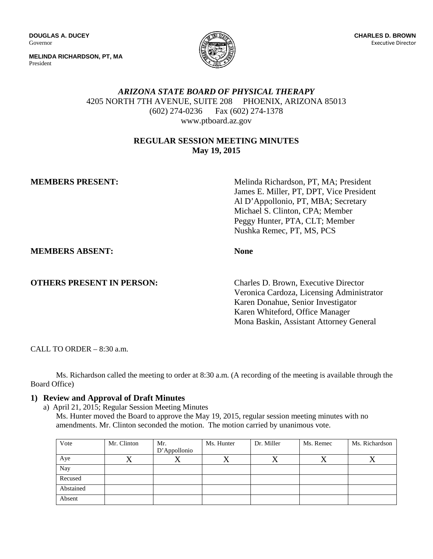**DOUGLAS A. DUCEY** Governor

**MELINDA RICHARDSON, PT, MA** President



# *ARIZONA STATE BOARD OF PHYSICAL THERAPY* 4205 NORTH 7TH AVENUE, SUITE 208 PHOENIX, ARIZONA 85013 (602) 274-0236 Fax (602) 274-1378 www.ptboard.az.gov

### **REGULAR SESSION MEETING MINUTES May 19, 2015**

**MEMBERS PRESENT:** Melinda Richardson, PT, MA; President James E. Miller, PT, DPT, Vice President Al D'Appollonio, PT, MBA; Secretary Michael S. Clinton, CPA; Member Peggy Hunter, PTA, CLT; Member Nushka Remec, PT, MS, PCS

**MEMBERS ABSENT: None**

**OTHERS PRESENT IN PERSON:** Charles D. Brown, Executive Director

Veronica Cardoza, Licensing Administrator Karen Donahue, Senior Investigator Karen Whiteford, Office Manager Mona Baskin, Assistant Attorney General

CALL TO ORDER – 8:30 a.m.

Ms. Richardson called the meeting to order at 8:30 a.m. (A recording of the meeting is available through the Board Office)

# **1) Review and Approval of Draft Minutes**

a) April 21, 2015; Regular Session Meeting Minutes Ms. Hunter moved the Board to approve the May 19, 2015, regular session meeting minutes with no amendments. Mr. Clinton seconded the motion. The motion carried by unanimous vote.

| Vote      | Mr. Clinton | Mr.<br>D'Appollonio | Ms. Hunter | Dr. Miller | Ms. Remec | Ms. Richardson |
|-----------|-------------|---------------------|------------|------------|-----------|----------------|
| Aye       |             |                     |            |            |           |                |
| Nay       |             |                     |            |            |           |                |
| Recused   |             |                     |            |            |           |                |
| Abstained |             |                     |            |            |           |                |
| Absent    |             |                     |            |            |           |                |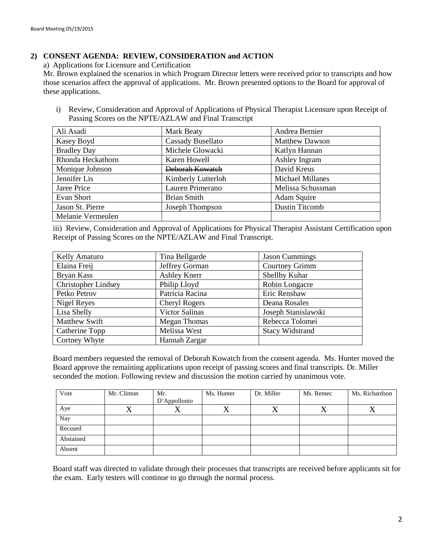### **2) CONSENT AGENDA: REVIEW, CONSIDERATION and ACTION**

a) Applications for Licensure and Certification

Mr. Brown explained the scenarios in which Program Director letters were received prior to transcripts and how those scenarios affect the approval of applications. Mr. Brown presented options to the Board for approval of these applications.

i) Review, Consideration and Approval of Applications of Physical Therapist Licensure upon Receipt of Passing Scores on the NPTE/AZLAW and Final Transcript

| Ali Asadi          | Mark Beaty         | Andrea Bernier          |
|--------------------|--------------------|-------------------------|
| Kasey Boyd         | Cassady Busellato  | <b>Matthew Dawson</b>   |
| <b>Bradley Day</b> | Michele Glowacki   | Katlyn Hannan           |
| Rhonda Heckathorn  | Karen Howell       | Ashley Ingram           |
| Monique Johnson    | Deborah Kowatch    | David Kreus             |
| Jennifer Lis       | Kimberly Lutterloh | <b>Michael Millanes</b> |
| Jaree Price        | Lauren Primerano   | Melissa Schussman       |
| Evan Short         | <b>Brian Smith</b> | Adam Squire             |
| Jason St. Pierre   | Joseph Thompson    | <b>Dustin Titcomb</b>   |
| Melanie Vermeulen  |                    |                         |

iii) Review, Consideration and Approval of Applications for Physical Therapist Assistant Certification upon Receipt of Passing Scores on the NPTE/AZLAW and Final Transcript.

| Kelly Amaturo              | Tina Bellgarde        | <b>Jason Cummings</b>  |
|----------------------------|-----------------------|------------------------|
| Elaina Freij               | Jeffrey Gorman        | Courtney Grimm         |
| Bryan Kass                 | <b>Ashley Knerr</b>   | Shellby Kuhar          |
| <b>Christopher Lindsey</b> | Philip Lloyd          | Robin Longacre         |
| Petko Petrov               | Patricia Racina       | Eric Renshaw           |
| Nigel Reyes                | <b>Cheryl Rogers</b>  | Deana Rosales          |
| Lisa Shelly                | <b>Victor Salinas</b> | Joseph Stanislawski    |
| <b>Matthew Swift</b>       | <b>Megan Thomas</b>   | Rebecca Tolomei        |
| Catherine Topp             | Melissa West          | <b>Stacy Widstrand</b> |
| Cortney Whyte              | Hannah Zargar         |                        |

Board members requested the removal of Deborah Kowatch from the consent agenda. Ms. Hunter moved the Board approve the remaining applications upon receipt of passing scores and final transcripts. Dr. Miller seconded the motion. Following review and discussion the motion carried by unanimous vote.

| Vote      | Mr. Clinton | Mr.          | Ms. Hunter | Dr. Miller | Ms. Remec | Ms. Richardson |
|-----------|-------------|--------------|------------|------------|-----------|----------------|
|           |             | D'Appollonio |            |            |           |                |
| Aye       | ↗           |              |            | $\Lambda$  | △         |                |
| Nay       |             |              |            |            |           |                |
| Recused   |             |              |            |            |           |                |
| Abstained |             |              |            |            |           |                |
| Absent    |             |              |            |            |           |                |

Board staff was directed to validate through their processes that transcripts are received before applicants sit for the exam. Early testers will continue to go through the normal process.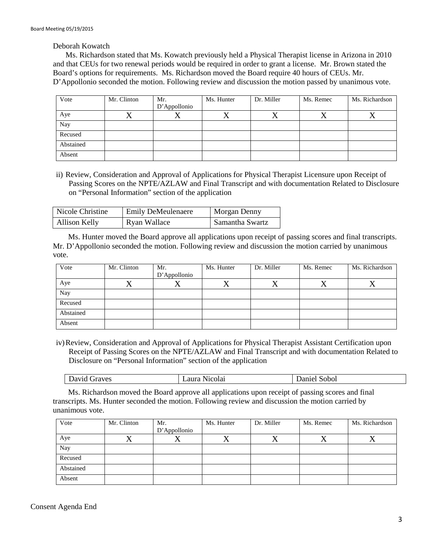Deborah Kowatch

Ms. Richardson stated that Ms. Kowatch previously held a Physical Therapist license in Arizona in 2010 and that CEUs for two renewal periods would be required in order to grant a license. Mr. Brown stated the Board's options for requirements. Ms. Richardson moved the Board require 40 hours of CEUs. Mr. D'Appollonio seconded the motion. Following review and discussion the motion passed by unanimous vote.

| Vote      | Mr. Clinton | Mr.          | Ms. Hunter | Dr. Miller | Ms. Remec | Ms. Richardson |
|-----------|-------------|--------------|------------|------------|-----------|----------------|
|           |             | D'Appollonio |            |            |           |                |
| Aye       | △           |              |            | △          | ╱┓        |                |
| Nay       |             |              |            |            |           |                |
| Recused   |             |              |            |            |           |                |
| Abstained |             |              |            |            |           |                |
| Absent    |             |              |            |            |           |                |

ii) Review, Consideration and Approval of Applications for Physical Therapist Licensure upon Receipt of Passing Scores on the NPTE/AZLAW and Final Transcript and with documentation Related to Disclosure on "Personal Information" section of the application

| Nicole Christine | <b>Emily DeMeulenaere</b> | <b>Morgan Denny</b> |
|------------------|---------------------------|---------------------|
| Allison Kelly    | Ryan Wallace              | Samantha Swartz     |

Ms. Hunter moved the Board approve all applications upon receipt of passing scores and final transcripts. Mr. D'Appollonio seconded the motion. Following review and discussion the motion carried by unanimous vote.

| Vote      | Mr. Clinton | Mr.          | Ms. Hunter | Dr. Miller | Ms. Remec | Ms. Richardson |
|-----------|-------------|--------------|------------|------------|-----------|----------------|
|           |             | D'Appollonio |            |            |           |                |
| Aye       | △           | $\Lambda$    |            | △          | △         |                |
| Nay       |             |              |            |            |           |                |
| Recused   |             |              |            |            |           |                |
| Abstained |             |              |            |            |           |                |
| Absent    |             |              |            |            |           |                |

iv)Review, Consideration and Approval of Applications for Physical Therapist Assistant Certification upon Receipt of Passing Scores on the NPTE/AZLAW and Final Transcript and with documentation Related to Disclosure on "Personal Information" section of the application

|  | fraves<br>D <sub>av1</sub> c<br>. | 0.3340<br>Nicolai<br>.at | Sobol<br>nel<br><br>, |
|--|-----------------------------------|--------------------------|-----------------------|
|--|-----------------------------------|--------------------------|-----------------------|

Ms. Richardson moved the Board approve all applications upon receipt of passing scores and final transcripts. Ms. Hunter seconded the motion. Following review and discussion the motion carried by unanimous vote.

| Vote      | Mr. Clinton | Mr.          | Ms. Hunter | Dr. Miller | Ms. Remec | Ms. Richardson |
|-----------|-------------|--------------|------------|------------|-----------|----------------|
|           |             | D'Appollonio |            |            |           |                |
| Aye       | $\Lambda$   |              |            | $\Lambda$  | $\lambda$ |                |
| Nay       |             |              |            |            |           |                |
| Recused   |             |              |            |            |           |                |
| Abstained |             |              |            |            |           |                |
| Absent    |             |              |            |            |           |                |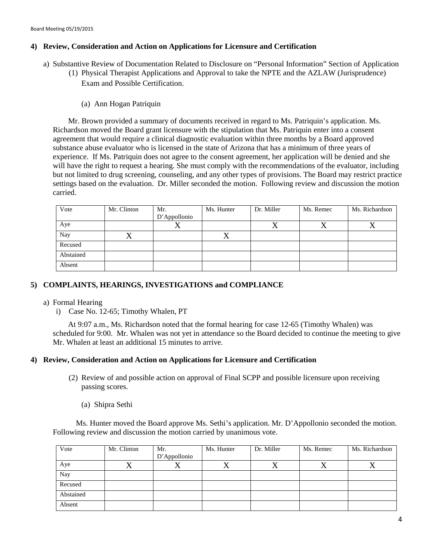### **4) Review, Consideration and Action on Applications for Licensure and Certification**

- a) Substantive Review of Documentation Related to Disclosure on "Personal Information" Section of Application
	- (1) Physical Therapist Applications and Approval to take the NPTE and the AZLAW (Jurisprudence) Exam and Possible Certification.
		- (a) Ann Hogan Patriquin

Mr. Brown provided a summary of documents received in regard to Ms. Patriquin's application. Ms. Richardson moved the Board grant licensure with the stipulation that Ms. Patriquin enter into a consent agreement that would require a clinical diagnostic evaluation within three months by a Board approved substance abuse evaluator who is licensed in the state of Arizona that has a minimum of three years of experience. If Ms. Patriquin does not agree to the consent agreement, her application will be denied and she will have the right to request a hearing. She must comply with the recommendations of the evaluator, including but not limited to drug screening, counseling, and any other types of provisions. The Board may restrict practice settings based on the evaluation. Dr. Miller seconded the motion. Following review and discussion the motion carried.

| Vote      | Mr. Clinton | Mr.<br>D'Appollonio | Ms. Hunter | Dr. Miller | Ms. Remec | Ms. Richardson |
|-----------|-------------|---------------------|------------|------------|-----------|----------------|
| Aye       |             | ↗                   |            | $\Lambda$  | $\Lambda$ |                |
| Nay       |             |                     |            |            |           |                |
| Recused   |             |                     |            |            |           |                |
| Abstained |             |                     |            |            |           |                |
| Absent    |             |                     |            |            |           |                |

### **5) COMPLAINTS, HEARINGS, INVESTIGATIONS and COMPLIANCE**

### a) Formal Hearing

i) Case No. 12-65; Timothy Whalen, PT

At 9:07 a.m., Ms. Richardson noted that the formal hearing for case 12-65 (Timothy Whalen) was scheduled for 9:00. Mr. Whalen was not yet in attendance so the Board decided to continue the meeting to give Mr. Whalen at least an additional 15 minutes to arrive.

### **4) Review, Consideration and Action on Applications for Licensure and Certification**

- (2) Review of and possible action on approval of Final SCPP and possible licensure upon receiving passing scores.
	- (a) Shipra Sethi

 Ms. Hunter moved the Board approve Ms. Sethi's application. Mr. D'Appollonio seconded the motion. Following review and discussion the motion carried by unanimous vote.

| Vote      | Mr. Clinton | Mr.          | Ms. Hunter | Dr. Miller | Ms. Remec | Ms. Richardson |
|-----------|-------------|--------------|------------|------------|-----------|----------------|
|           |             | D'Appollonio |            |            |           |                |
| Aye       |             | ∡            |            |            |           |                |
| Nay       |             |              |            |            |           |                |
| Recused   |             |              |            |            |           |                |
| Abstained |             |              |            |            |           |                |
| Absent    |             |              |            |            |           |                |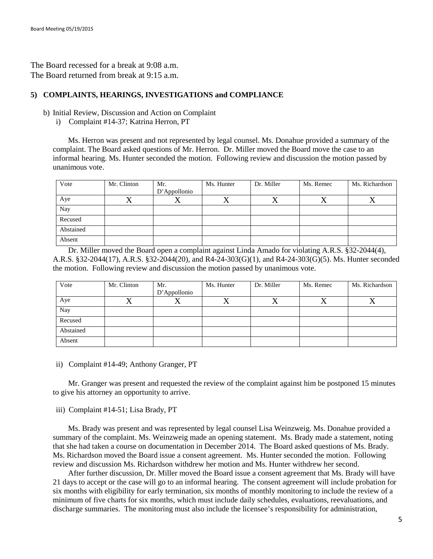The Board recessed for a break at 9:08 a.m. The Board returned from break at 9:15 a.m.

### **5) COMPLAINTS, HEARINGS, INVESTIGATIONS and COMPLIANCE**

#### b) Initial Review, Discussion and Action on Complaint

i) Complaint #14-37; Katrina Herron, PT

Ms. Herron was present and not represented by legal counsel. Ms. Donahue provided a summary of the complaint. The Board asked questions of Mr. Herron. Dr. Miller moved the Board move the case to an informal hearing. Ms. Hunter seconded the motion. Following review and discussion the motion passed by unanimous vote.

| Vote      | Mr. Clinton | Mr.<br>D'Appollonio | Ms. Hunter | Dr. Miller | Ms. Remec | Ms. Richardson |
|-----------|-------------|---------------------|------------|------------|-----------|----------------|
| Aye       |             | Δ                   |            |            |           |                |
| Nay       |             |                     |            |            |           |                |
| Recused   |             |                     |            |            |           |                |
| Abstained |             |                     |            |            |           |                |
| Absent    |             |                     |            |            |           |                |

Dr. Miller moved the Board open a complaint against Linda Amado for violating A.R.S. §32-2044(4), A.R.S. §32-2044(17), A.R.S. §32-2044(20), and R4-24-303(G)(1), and R4-24-303(G)(5). Ms. Hunter seconded the motion. Following review and discussion the motion passed by unanimous vote.

| Vote      | Mr. Clinton | Mr.          | Ms. Hunter | Dr. Miller | Ms. Remec | Ms. Richardson |
|-----------|-------------|--------------|------------|------------|-----------|----------------|
|           |             | D'Appollonio |            |            |           |                |
| Aye       |             | ∡            |            | ∡          | △         |                |
| Nay       |             |              |            |            |           |                |
| Recused   |             |              |            |            |           |                |
| Abstained |             |              |            |            |           |                |
| Absent    |             |              |            |            |           |                |

ii) Complaint #14-49; Anthony Granger, PT

Mr. Granger was present and requested the review of the complaint against him be postponed 15 minutes to give his attorney an opportunity to arrive.

iii) Complaint #14-51; Lisa Brady, PT

Ms. Brady was present and was represented by legal counsel Lisa Weinzweig. Ms. Donahue provided a summary of the complaint. Ms. Weinzweig made an opening statement. Ms. Brady made a statement, noting that she had taken a course on documentation in December 2014. The Board asked questions of Ms. Brady. Ms. Richardson moved the Board issue a consent agreement. Ms. Hunter seconded the motion. Following review and discussion Ms. Richardson withdrew her motion and Ms. Hunter withdrew her second.

After further discussion, Dr. Miller moved the Board issue a consent agreement that Ms. Brady will have 21 days to accept or the case will go to an informal hearing. The consent agreement will include probation for six months with eligibility for early termination, six months of monthly monitoring to include the review of a minimum of five charts for six months, which must include daily schedules, evaluations, reevaluations, and discharge summaries. The monitoring must also include the licensee's responsibility for administration,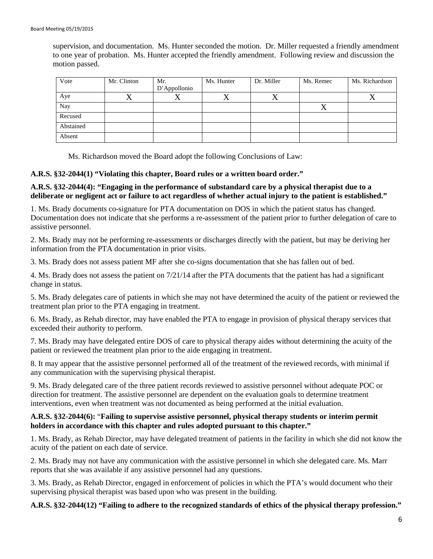supervision, and documentation. Ms. Hunter seconded the motion. Dr. Miller requested a friendly amendment to one year of probation. Ms. Hunter accepted the friendly amendment. Following review and discussion the motion passed.

| Vote      | Mr. Clinton | Mr.          | Ms. Hunter | Dr. Miller | Ms. Remec | Ms. Richardson |
|-----------|-------------|--------------|------------|------------|-----------|----------------|
|           |             | D'Appollonio |            |            |           |                |
| Aye       | △           |              | ↗          | △          |           |                |
| Nay       |             |              |            |            | ∡         |                |
| Recused   |             |              |            |            |           |                |
| Abstained |             |              |            |            |           |                |
| Absent    |             |              |            |            |           |                |

Ms. Richardson moved the Board adopt the following Conclusions of Law:

#### **A.R.S. §32-2044(1) "Violating this chapter, Board rules or a written board order."**

#### **A.R.S. §32-2044(4): "Engaging in the performance of substandard care by a physical therapist due to a deliberate or negligent act or failure to act regardless of whether actual injury to the patient is established."**

1. Ms. Brady documents co-signature for PTA documentation on DOS in which the patient status has changed. Documentation does not indicate that she performs a re-assessment of the patient prior to further delegation of care to assistive personnel.

2. Ms. Brady may not be performing re-assessments or discharges directly with the patient, but may be deriving her information from the PTA documentation in prior visits.

3. Ms. Brady does not assess patient MF after she co-signs documentation that she has fallen out of bed.

4. Ms. Brady does not assess the patient on 7/21/14 after the PTA documents that the patient has had a significant change in status.

5. Ms. Brady delegates care of patients in which she may not have determined the acuity of the patient or reviewed the treatment plan prior to the PTA engaging in treatment.

6. Ms. Brady, as Rehab director, may have enabled the PTA to engage in provision of physical therapy services that exceeded their authority to perform.

7. Ms. Brady may have delegated entire DOS of care to physical therapy aides without determining the acuity of the patient or reviewed the treatment plan prior to the aide engaging in treatment.

8. It may appear that the assistive personnel performed all of the treatment of the reviewed records, with minimal if any communication with the supervising physical therapist.

9. Ms. Brady delegated care of the three patient records reviewed to assistive personnel without adequate POC or direction for treatment. The assistive personnel are dependent on the evaluation goals to determine treatment interventions, even when treatment was not documented as being performed at the initial evaluation.

#### **A.R.S. §32-2044(6):** "**Failing to supervise assistive personnel, physical therapy students or interim permit holders in accordance with this chapter and rules adopted pursuant to this chapter."**

1. Ms. Brady, as Rehab Director, may have delegated treatment of patients in the facility in which she did not know the acuity of the patient on each date of service.

2. Ms. Brady may not have any communication with the assistive personnel in which she delegated care. Ms. Marr reports that she was available if any assistive personnel had any questions.

3. Ms. Brady, as Rehab Director, engaged in enforcement of policies in which the PTA's would document who their supervising physical therapist was based upon who was present in the building.

#### **A.R.S. §32-2044(12) "Failing to adhere to the recognized standards of ethics of the physical therapy profession."**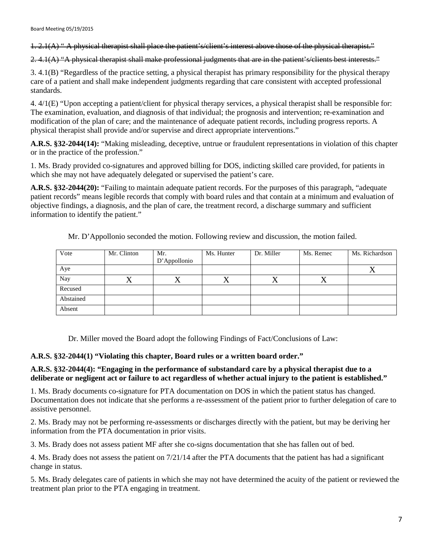1. 2.1(A) " A physical therapist shall place the patient's/client's interest above those of the physical therapist."

2. 4.1(A) "A physical therapist shall make professional judgments that are in the patient's/clients best interests."

3. 4.1(B) "Regardless of the practice setting, a physical therapist has primary responsibility for the physical therapy care of a patient and shall make independent judgments regarding that care consistent with accepted professional standards.

4. 4/1(E) "Upon accepting a patient/client for physical therapy services, a physical therapist shall be responsible for: The examination, evaluation, and diagnosis of that individual; the prognosis and intervention; re-examination and modification of the plan of care; and the maintenance of adequate patient records, including progress reports. A physical therapist shall provide and/or supervise and direct appropriate interventions."

**A.R.S. §32-2044(14):** "Making misleading, deceptive, untrue or fraudulent representations in violation of this chapter or in the practice of the profession."

1. Ms. Brady provided co-signatures and approved billing for DOS, indicting skilled care provided, for patients in which she may not have adequately delegated or supervised the patient's care.

**A.R.S. §32-2044(20):** "Failing to maintain adequate patient records. For the purposes of this paragraph, "adequate patient records" means legible records that comply with board rules and that contain at a minimum and evaluation of objective findings, a diagnosis, and the plan of care, the treatment record, a discharge summary and sufficient information to identify the patient."

| Vote      | Mr. Clinton | Mr.<br>D'Appollonio | Ms. Hunter | Dr. Miller | Ms. Remec | Ms. Richardson |
|-----------|-------------|---------------------|------------|------------|-----------|----------------|
| Aye       |             |                     |            |            |           |                |
| Nay       | △           | $\lambda$           |            | ∡          | △         |                |
| Recused   |             |                     |            |            |           |                |
| Abstained |             |                     |            |            |           |                |
| Absent    |             |                     |            |            |           |                |

Mr. D'Appollonio seconded the motion. Following review and discussion, the motion failed.

Dr. Miller moved the Board adopt the following Findings of Fact/Conclusions of Law:

### **A.R.S. §32-2044(1) "Violating this chapter, Board rules or a written board order."**

### **A.R.S. §32-2044(4): "Engaging in the performance of substandard care by a physical therapist due to a deliberate or negligent act or failure to act regardless of whether actual injury to the patient is established."**

1. Ms. Brady documents co-signature for PTA documentation on DOS in which the patient status has changed. Documentation does not indicate that she performs a re-assessment of the patient prior to further delegation of care to assistive personnel.

2. Ms. Brady may not be performing re-assessments or discharges directly with the patient, but may be deriving her information from the PTA documentation in prior visits.

3. Ms. Brady does not assess patient MF after she co-signs documentation that she has fallen out of bed.

4. Ms. Brady does not assess the patient on 7/21/14 after the PTA documents that the patient has had a significant change in status.

5. Ms. Brady delegates care of patients in which she may not have determined the acuity of the patient or reviewed the treatment plan prior to the PTA engaging in treatment.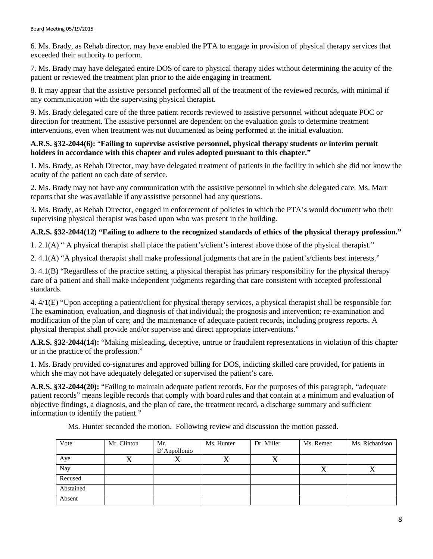6. Ms. Brady, as Rehab director, may have enabled the PTA to engage in provision of physical therapy services that exceeded their authority to perform.

7. Ms. Brady may have delegated entire DOS of care to physical therapy aides without determining the acuity of the patient or reviewed the treatment plan prior to the aide engaging in treatment.

8. It may appear that the assistive personnel performed all of the treatment of the reviewed records, with minimal if any communication with the supervising physical therapist.

9. Ms. Brady delegated care of the three patient records reviewed to assistive personnel without adequate POC or direction for treatment. The assistive personnel are dependent on the evaluation goals to determine treatment interventions, even when treatment was not documented as being performed at the initial evaluation.

### **A.R.S. §32-2044(6):** "**Failing to supervise assistive personnel, physical therapy students or interim permit holders in accordance with this chapter and rules adopted pursuant to this chapter."**

1. Ms. Brady, as Rehab Director, may have delegated treatment of patients in the facility in which she did not know the acuity of the patient on each date of service.

2. Ms. Brady may not have any communication with the assistive personnel in which she delegated care. Ms. Marr reports that she was available if any assistive personnel had any questions.

3. Ms. Brady, as Rehab Director, engaged in enforcement of policies in which the PTA's would document who their supervising physical therapist was based upon who was present in the building.

# **A.R.S. §32-2044(12) "Failing to adhere to the recognized standards of ethics of the physical therapy profession."**

1. 2.1(A) " A physical therapist shall place the patient's/client's interest above those of the physical therapist."

2. 4.1(A) "A physical therapist shall make professional judgments that are in the patient's/clients best interests."

3. 4.1(B) "Regardless of the practice setting, a physical therapist has primary responsibility for the physical therapy care of a patient and shall make independent judgments regarding that care consistent with accepted professional standards.

4. 4/1(E) "Upon accepting a patient/client for physical therapy services, a physical therapist shall be responsible for: The examination, evaluation, and diagnosis of that individual; the prognosis and intervention; re-examination and modification of the plan of care; and the maintenance of adequate patient records, including progress reports. A physical therapist shall provide and/or supervise and direct appropriate interventions."

**A.R.S. §32-2044(14):** "Making misleading, deceptive, untrue or fraudulent representations in violation of this chapter or in the practice of the profession."

1. Ms. Brady provided co-signatures and approved billing for DOS, indicting skilled care provided, for patients in which she may not have adequately delegated or supervised the patient's care.

**A.R.S. §32-2044(20):** "Failing to maintain adequate patient records. For the purposes of this paragraph, "adequate patient records" means legible records that comply with board rules and that contain at a minimum and evaluation of objective findings, a diagnosis, and the plan of care, the treatment record, a discharge summary and sufficient information to identify the patient."

Ms. Hunter seconded the motion. Following review and discussion the motion passed.

| Vote      | Mr. Clinton | Mr.          | Ms. Hunter | Dr. Miller | Ms. Remec | Ms. Richardson |
|-----------|-------------|--------------|------------|------------|-----------|----------------|
|           |             | D'Appollonio |            |            |           |                |
| Aye       |             | ∡∢           |            |            |           |                |
| Nay       |             |              |            |            | ∡         |                |
| Recused   |             |              |            |            |           |                |
| Abstained |             |              |            |            |           |                |
| Absent    |             |              |            |            |           |                |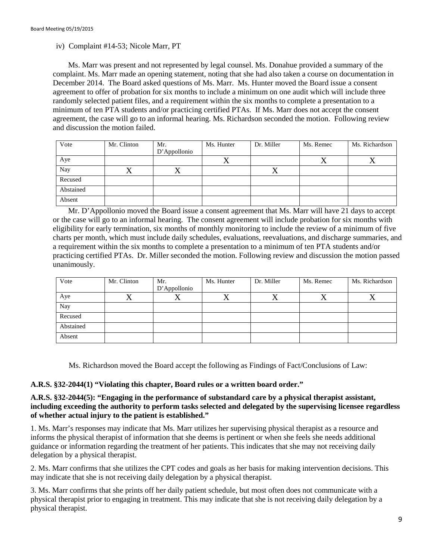### iv) Complaint #14-53; Nicole Marr, PT

Ms. Marr was present and not represented by legal counsel. Ms. Donahue provided a summary of the complaint. Ms. Marr made an opening statement, noting that she had also taken a course on documentation in December 2014. The Board asked questions of Ms. Marr. Ms. Hunter moved the Board issue a consent agreement to offer of probation for six months to include a minimum on one audit which will include three randomly selected patient files, and a requirement within the six months to complete a presentation to a minimum of ten PTA students and/or practicing certified PTAs. If Ms. Marr does not accept the consent agreement, the case will go to an informal hearing. Ms. Richardson seconded the motion. Following review and discussion the motion failed.

| Vote      | Mr. Clinton | Mr.          | Ms. Hunter | Dr. Miller | Ms. Remec | Ms. Richardson |
|-----------|-------------|--------------|------------|------------|-----------|----------------|
|           |             | D'Appollonio |            |            |           |                |
| Aye       |             |              |            |            | $\lambda$ |                |
| Nay       |             | Δ            |            | △          |           |                |
| Recused   |             |              |            |            |           |                |
| Abstained |             |              |            |            |           |                |
| Absent    |             |              |            |            |           |                |

Mr. D'Appollonio moved the Board issue a consent agreement that Ms. Marr will have 21 days to accept or the case will go to an informal hearing. The consent agreement will include probation for six months with eligibility for early termination, six months of monthly monitoring to include the review of a minimum of five charts per month, which must include daily schedules, evaluations, reevaluations, and discharge summaries, and a requirement within the six months to complete a presentation to a minimum of ten PTA students and/or practicing certified PTAs. Dr. Miller seconded the motion. Following review and discussion the motion passed unanimously.

| Vote      | Mr. Clinton | Mr.          | Ms. Hunter | Dr. Miller | Ms. Remec | Ms. Richardson |
|-----------|-------------|--------------|------------|------------|-----------|----------------|
|           |             | D'Appollonio |            |            |           |                |
| Aye       |             | ↗            |            |            |           |                |
| Nay       |             |              |            |            |           |                |
| Recused   |             |              |            |            |           |                |
| Abstained |             |              |            |            |           |                |
| Absent    |             |              |            |            |           |                |

Ms. Richardson moved the Board accept the following as Findings of Fact/Conclusions of Law:

### **A.R.S. §32-2044(1) "Violating this chapter, Board rules or a written board order."**

### **A.R.S. §32-2044(5): "Engaging in the performance of substandard care by a physical therapist assistant, including exceeding the authority to perform tasks selected and delegated by the supervising licensee regardless of whether actual injury to the patient is established."**

1. Ms. Marr's responses may indicate that Ms. Marr utilizes her supervising physical therapist as a resource and informs the physical therapist of information that she deems is pertinent or when she feels she needs additional guidance or information regarding the treatment of her patients. This indicates that she may not receiving daily delegation by a physical therapist.

2. Ms. Marr confirms that she utilizes the CPT codes and goals as her basis for making intervention decisions. This may indicate that she is not receiving daily delegation by a physical therapist.

3. Ms. Marr confirms that she prints off her daily patient schedule, but most often does not communicate with a physical therapist prior to engaging in treatment. This may indicate that she is not receiving daily delegation by a physical therapist.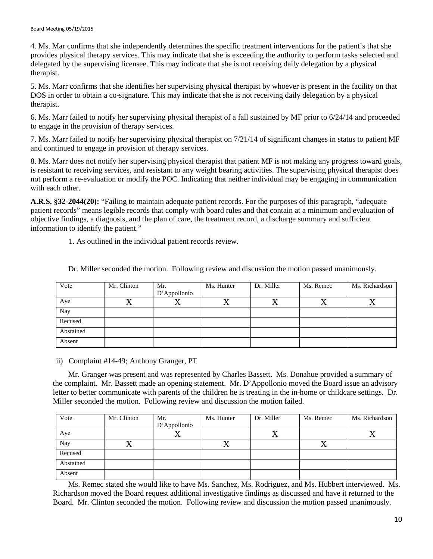4. Ms. Mar confirms that she independently determines the specific treatment interventions for the patient's that she provides physical therapy services. This may indicate that she is exceeding the authority to perform tasks selected and delegated by the supervising licensee. This may indicate that she is not receiving daily delegation by a physical therapist.

5. Ms. Marr confirms that she identifies her supervising physical therapist by whoever is present in the facility on that DOS in order to obtain a co-signature. This may indicate that she is not receiving daily delegation by a physical therapist.

6. Ms. Marr failed to notify her supervising physical therapist of a fall sustained by MF prior to 6/24/14 and proceeded to engage in the provision of therapy services.

7. Ms. Marr failed to notify her supervising physical therapist on 7/21/14 of significant changes in status to patient MF and continued to engage in provision of therapy services.

8. Ms. Marr does not notify her supervising physical therapist that patient MF is not making any progress toward goals, is resistant to receiving services, and resistant to any weight bearing activities. The supervising physical therapist does not perform a re-evaluation or modify the POC. Indicating that neither individual may be engaging in communication with each other.

**A.R.S. §32-2044(20):** "Failing to maintain adequate patient records. For the purposes of this paragraph, "adequate patient records" means legible records that comply with board rules and that contain at a minimum and evaluation of objective findings, a diagnosis, and the plan of care, the treatment record, a discharge summary and sufficient information to identify the patient."

1. As outlined in the individual patient records review.

| Vote      | Mr. Clinton | Mr.          | Ms. Hunter | Dr. Miller | Ms. Remec | Ms. Richardson |
|-----------|-------------|--------------|------------|------------|-----------|----------------|
|           |             | D'Appollonio |            |            |           |                |
| Aye       | △           | $\lambda$    |            | $\Lambda$  | ∡         | 77             |
| Nay       |             |              |            |            |           |                |
| Recused   |             |              |            |            |           |                |
| Abstained |             |              |            |            |           |                |
| Absent    |             |              |            |            |           |                |

Dr. Miller seconded the motion. Following review and discussion the motion passed unanimously.

### ii) Complaint #14-49; Anthony Granger, PT

Mr. Granger was present and was represented by Charles Bassett. Ms. Donahue provided a summary of the complaint. Mr. Bassett made an opening statement. Mr. D'Appollonio moved the Board issue an advisory letter to better communicate with parents of the children he is treating in the in-home or childcare settings. Dr. Miller seconded the motion. Following review and discussion the motion failed.

| Vote      | Mr. Clinton | Mr.          | Ms. Hunter | Dr. Miller | Ms. Remec | Ms. Richardson |
|-----------|-------------|--------------|------------|------------|-----------|----------------|
|           |             | D'Appollonio |            |            |           |                |
| Aye       |             | Δ            |            |            |           |                |
| Nay       | ∡           |              | $\lambda$  |            | △         |                |
| Recused   |             |              |            |            |           |                |
| Abstained |             |              |            |            |           |                |
| Absent    |             |              |            |            |           |                |

Ms. Remec stated she would like to have Ms. Sanchez, Ms. Rodriguez, and Ms. Hubbert interviewed. Ms. Richardson moved the Board request additional investigative findings as discussed and have it returned to the Board. Mr. Clinton seconded the motion. Following review and discussion the motion passed unanimously.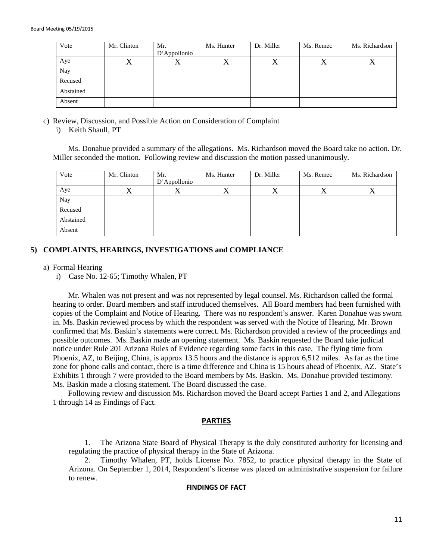| Vote      | Mr. Clinton | Mr.          | Ms. Hunter | Dr. Miller | Ms. Remec | Ms. Richardson |
|-----------|-------------|--------------|------------|------------|-----------|----------------|
|           |             | D'Appollonio |            |            |           |                |
| Aye       | ∡           |              |            | ∡          |           |                |
| Nay       |             |              |            |            |           |                |
| Recused   |             |              |            |            |           |                |
| Abstained |             |              |            |            |           |                |
| Absent    |             |              |            |            |           |                |

- c) Review, Discussion, and Possible Action on Consideration of Complaint
	- i) Keith Shaull, PT

Ms. Donahue provided a summary of the allegations. Ms. Richardson moved the Board take no action. Dr. Miller seconded the motion. Following review and discussion the motion passed unanimously.

| Vote      | Mr. Clinton | Mr.          | Ms. Hunter | Dr. Miller | Ms. Remec | Ms. Richardson |
|-----------|-------------|--------------|------------|------------|-----------|----------------|
|           |             | D'Appollonio |            |            |           |                |
| Aye       |             | △            |            | △          | △         |                |
| Nay       |             |              |            |            |           |                |
| Recused   |             |              |            |            |           |                |
| Abstained |             |              |            |            |           |                |
| Absent    |             |              |            |            |           |                |

### **5) COMPLAINTS, HEARINGS, INVESTIGATIONS and COMPLIANCE**

a) Formal Hearing

i) Case No. 12-65; Timothy Whalen, PT

Mr. Whalen was not present and was not represented by legal counsel. Ms. Richardson called the formal hearing to order. Board members and staff introduced themselves. All Board members had been furnished with copies of the Complaint and Notice of Hearing. There was no respondent's answer. Karen Donahue was sworn in. Ms. Baskin reviewed process by which the respondent was served with the Notice of Hearing. Mr. Brown confirmed that Ms. Baskin's statements were correct. Ms. Richardson provided a review of the proceedings and possible outcomes. Ms. Baskin made an opening statement. Ms. Baskin requested the Board take judicial notice under Rule 201 Arizona Rules of Evidence regarding some facts in this case. The flying time from Phoenix, AZ, to Beijing, China, is approx 13.5 hours and the distance is approx 6,512 miles. As far as the time zone for phone calls and contact, there is a time difference and China is 15 hours ahead of Phoenix, AZ. State's Exhibits 1 through 7 were provided to the Board members by Ms. Baskin. Ms. Donahue provided testimony. Ms. Baskin made a closing statement. The Board discussed the case.

Following review and discussion Ms. Richardson moved the Board accept Parties 1 and 2, and Allegations 1 through 14 as Findings of Fact.

#### **PARTIES**

1. The Arizona State Board of Physical Therapy is the duly constituted authority for licensing and regulating the practice of physical therapy in the State of Arizona.

2. Timothy Whalen, PT, holds License No. 7852, to practice physical therapy in the State of Arizona. On September 1, 2014, Respondent's license was placed on administrative suspension for failure to renew.

#### **FINDINGS OF FACT**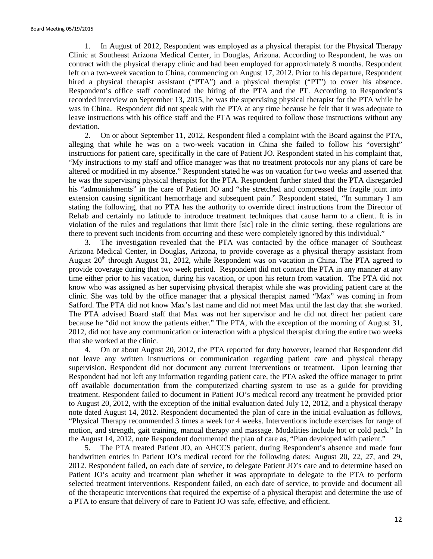1. In August of 2012, Respondent was employed as a physical therapist for the Physical Therapy Clinic at Southeast Arizona Medical Center, in Douglas, Arizona. According to Respondent, he was on contract with the physical therapy clinic and had been employed for approximately 8 months. Respondent left on a two-week vacation to China, commencing on August 17, 2012. Prior to his departure, Respondent hired a physical therapist assistant ("PTA") and a physical therapist ("PT") to cover his absence. Respondent's office staff coordinated the hiring of the PTA and the PT. According to Respondent's recorded interview on September 13, 2015, he was the supervising physical therapist for the PTA while he was in China. Respondent did not speak with the PTA at any time because he felt that it was adequate to leave instructions with his office staff and the PTA was required to follow those instructions without any deviation.

2. On or about September 11, 2012, Respondent filed a complaint with the Board against the PTA, alleging that while he was on a two-week vacation in China she failed to follow his "oversight" instructions for patient care, specifically in the care of Patient JO. Respondent stated in his complaint that, "My instructions to my staff and office manager was that no treatment protocols nor any plans of care be altered or modified in my absence." Respondent stated he was on vacation for two weeks and asserted that he was the supervising physical therapist for the PTA. Respondent further stated that the PTA disregarded his "admonishments" in the care of Patient JO and "she stretched and compressed the fragile joint into extension causing significant hemorrhage and subsequent pain." Respondent stated, "In summary I am stating the following, that no PTA has the authority to override direct instructions from the Director of Rehab and certainly no latitude to introduce treatment techniques that cause harm to a client. It is in violation of the rules and regulations that limit there [sic] role in the clinic setting, these regulations are there to prevent such incidents from occurring and these were completely ignored by this individual."

3. The investigation revealed that the PTA was contacted by the office manager of Southeast Arizona Medical Center, in Douglas, Arizona, to provide coverage as a physical therapy assistant from August  $20<sup>th</sup>$  through August 31, 2012, while Respondent was on vacation in China. The PTA agreed to provide coverage during that two week period. Respondent did not contact the PTA in any manner at any time either prior to his vacation, during his vacation, or upon his return from vacation. The PTA did not know who was assigned as her supervising physical therapist while she was providing patient care at the clinic. She was told by the office manager that a physical therapist named "Max" was coming in from Safford. The PTA did not know Max's last name and did not meet Max until the last day that she worked. The PTA advised Board staff that Max was not her supervisor and he did not direct her patient care because he "did not know the patients either." The PTA, with the exception of the morning of August 31, 2012, did not have any communication or interaction with a physical therapist during the entire two weeks that she worked at the clinic.

4. On or about August 20, 2012, the PTA reported for duty however, learned that Respondent did not leave any written instructions or communication regarding patient care and physical therapy supervision. Respondent did not document any current interventions or treatment. Upon learning that Respondent had not left any information regarding patient care, the PTA asked the office manager to print off available documentation from the computerized charting system to use as a guide for providing treatment. Respondent failed to document in Patient JO's medical record any treatment he provided prior to August 20, 2012, with the exception of the initial evaluation dated July 12, 2012, and a physical therapy note dated August 14, 2012. Respondent documented the plan of care in the initial evaluation as follows, "Physical Therapy recommended 3 times a week for 4 weeks. Interventions include exercises for range of motion, and strength, gait training, manual therapy and massage. Modalities include hot or cold pack." In the August 14, 2012, note Respondent documented the plan of care as, "Plan developed with patient."

5. The PTA treated Patient JO, an AHCCS patient, during Respondent's absence and made four handwritten entries in Patient JO's medical record for the following dates: August 20, 22, 27, and 29, 2012. Respondent failed, on each date of service, to delegate Patient JO's care and to determine based on Patient JO's acuity and treatment plan whether it was appropriate to delegate to the PTA to perform selected treatment interventions. Respondent failed, on each date of service, to provide and document all of the therapeutic interventions that required the expertise of a physical therapist and determine the use of a PTA to ensure that delivery of care to Patient JO was safe, effective, and efficient.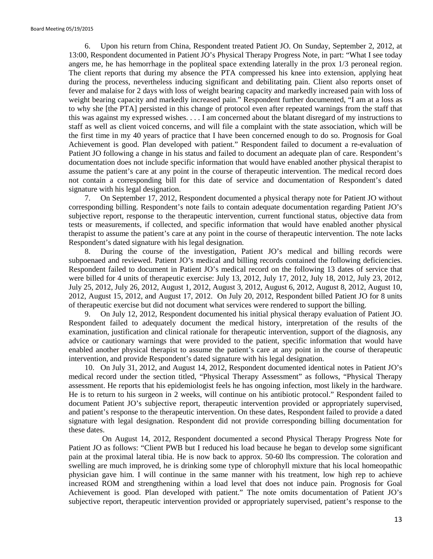6. Upon his return from China, Respondent treated Patient JO. On Sunday, September 2, 2012, at 13:00, Respondent documented in Patient JO's Physical Therapy Progress Note, in part: "What I see today angers me, he has hemorrhage in the popliteal space extending laterally in the prox 1/3 peroneal region. The client reports that during my absence the PTA compressed his knee into extension, applying heat during the process, nevertheless inducing significant and debilitating pain. Client also reports onset of fever and malaise for 2 days with loss of weight bearing capacity and markedly increased pain with loss of weight bearing capacity and markedly increased pain." Respondent further documented, "I am at a loss as to why she [the PTA] persisted in this change of protocol even after repeated warnings from the staff that this was against my expressed wishes. . . . I am concerned about the blatant disregard of my instructions to staff as well as client voiced concerns, and will file a complaint with the state association, which will be the first time in my 40 years of practice that I have been concerned enough to do so. Prognosis for Goal Achievement is good. Plan developed with patient." Respondent failed to document a re-evaluation of Patient JO following a change in his status and failed to document an adequate plan of care. Respondent's documentation does not include specific information that would have enabled another physical therapist to assume the patient's care at any point in the course of therapeutic intervention. The medical record does not contain a corresponding bill for this date of service and documentation of Respondent's dated signature with his legal designation.

7. On September 17, 2012, Respondent documented a physical therapy note for Patient JO without corresponding billing. Respondent's note fails to contain adequate documentation regarding Patient JO's subjective report, response to the therapeutic intervention, current functional status, objective data from tests or measurements, if collected, and specific information that would have enabled another physical therapist to assume the patient's care at any point in the course of therapeutic intervention. The note lacks Respondent's dated signature with his legal designation.

8. During the course of the investigation, Patient JO's medical and billing records were subpoenaed and reviewed. Patient JO's medical and billing records contained the following deficiencies. Respondent failed to document in Patient JO's medical record on the following 13 dates of service that were billed for 4 units of therapeutic exercise: July 13, 2012, July 17, 2012, July 18, 2012, July 23, 2012, July 25, 2012, July 26, 2012, August 1, 2012, August 3, 2012, August 6, 2012, August 8, 2012, August 10, 2012, August 15, 2012, and August 17, 2012. On July 20, 2012, Respondent billed Patient JO for 8 units of therapeutic exercise but did not document what services were rendered to support the billing.

9. On July 12, 2012, Respondent documented his initial physical therapy evaluation of Patient JO. Respondent failed to adequately document the medical history, interpretation of the results of the examination, justification and clinical rationale for therapeutic intervention, support of the diagnosis, any advice or cautionary warnings that were provided to the patient, specific information that would have enabled another physical therapist to assume the patient's care at any point in the course of therapeutic intervention, and provide Respondent's dated signature with his legal designation.

10. On July 31, 2012, and August 14, 2012, Respondent documented identical notes in Patient JO's medical record under the section titled, "Physical Therapy Assessment" as follows, "Physical Therapy assessment. He reports that his epidemiologist feels he has ongoing infection, most likely in the hardware. He is to return to his surgeon in 2 weeks, will continue on his antibiotic protocol." Respondent failed to document Patient JO's subjective report, therapeutic intervention provided or appropriately supervised, and patient's response to the therapeutic intervention. On these dates, Respondent failed to provide a dated signature with legal designation. Respondent did not provide corresponding billing documentation for these dates.

 On August 14, 2012, Respondent documented a second Physical Therapy Progress Note for Patient JO as follows: "Client PWB but I reduced his load because he began to develop some significant pain at the proximal lateral tibia. He is now back to approx. 50-60 lbs compression. The coloration and swelling are much improved, he is drinking some type of chlorophyll mixture that his local homeopathic physician gave him. I will continue in the same manner with his treatment, low high rep to achieve increased ROM and strengthening within a load level that does not induce pain. Prognosis for Goal Achievement is good. Plan developed with patient." The note omits documentation of Patient JO's subjective report, therapeutic intervention provided or appropriately supervised, patient's response to the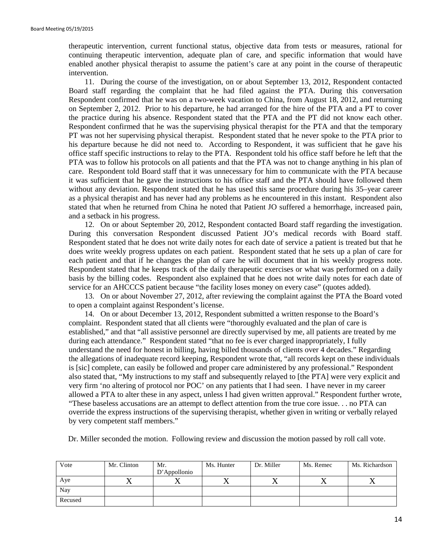therapeutic intervention, current functional status, objective data from tests or measures, rational for continuing therapeutic intervention, adequate plan of care, and specific information that would have enabled another physical therapist to assume the patient's care at any point in the course of therapeutic intervention.

11. During the course of the investigation, on or about September 13, 2012, Respondent contacted Board staff regarding the complaint that he had filed against the PTA. During this conversation Respondent confirmed that he was on a two-week vacation to China, from August 18, 2012, and returning on September 2, 2012. Prior to his departure, he had arranged for the hire of the PTA and a PT to cover the practice during his absence. Respondent stated that the PTA and the PT did not know each other. Respondent confirmed that he was the supervising physical therapist for the PTA and that the temporary PT was not her supervising physical therapist. Respondent stated that he never spoke to the PTA prior to his departure because he did not need to. According to Respondent, it was sufficient that he gave his office staff specific instructions to relay to the PTA. Respondent told his office staff before he left that the PTA was to follow his protocols on all patients and that the PTA was not to change anything in his plan of care. Respondent told Board staff that it was unnecessary for him to communicate with the PTA because it was sufficient that he gave the instructions to his office staff and the PTA should have followed them without any deviation. Respondent stated that he has used this same procedure during his 35–year career as a physical therapist and has never had any problems as he encountered in this instant. Respondent also stated that when he returned from China he noted that Patient JO suffered a hemorrhage, increased pain, and a setback in his progress.

12. On or about September 20, 2012, Respondent contacted Board staff regarding the investigation. During this conversation Respondent discussed Patient JO's medical records with Board staff. Respondent stated that he does not write daily notes for each date of service a patient is treated but that he does write weekly progress updates on each patient. Respondent stated that he sets up a plan of care for each patient and that if he changes the plan of care he will document that in his weekly progress note. Respondent stated that he keeps track of the daily therapeutic exercises or what was performed on a daily basis by the billing codes. Respondent also explained that he does not write daily notes for each date of service for an AHCCCS patient because "the facility loses money on every case" (quotes added).

13. On or about November 27, 2012, after reviewing the complaint against the PTA the Board voted to open a complaint against Respondent's license.

14. On or about December 13, 2012, Respondent submitted a written response to the Board's complaint. Respondent stated that all clients were "thoroughly evaluated and the plan of care is established," and that "all assistive personnel are directly supervised by me, all patients are treated by me during each attendance." Respondent stated "that no fee is ever charged inappropriately, I fully understand the need for honest in billing, having billed thousands of clients over 4 decades." Regarding the allegations of inadequate record keeping, Respondent wrote that, "all records kept on these individuals is [sic] complete, can easily be followed and proper care administered by any professional." Respondent also stated that, "My instructions to my staff and subsequently relayed to [the PTA] were very explicit and very firm 'no altering of protocol nor POC' on any patients that I had seen. I have never in my career allowed a PTA to alter these in any aspect, unless I had given written approval." Respondent further wrote, "These baseless accusations are an attempt to deflect attention from the true core issue. . . no PTA can override the express instructions of the supervising therapist, whether given in writing or verbally relayed by very competent staff members."

Dr. Miller seconded the motion. Following review and discussion the motion passed by roll call vote.

| Vote    | Mr. Clinton | Mr.<br>D'Appollonio | Ms. Hunter | Dr. Miller | Ms. Remec | Ms. Richardson |
|---------|-------------|---------------------|------------|------------|-----------|----------------|
| Aye     |             |                     |            | ◢▴         |           |                |
| Nay     |             |                     |            |            |           |                |
| Recused |             |                     |            |            |           |                |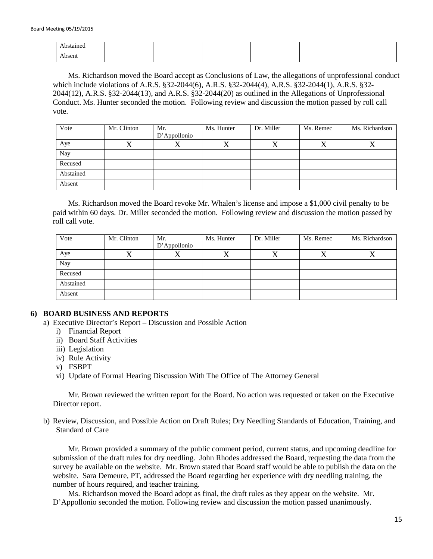| bstained |  |  |  |
|----------|--|--|--|
| Absent   |  |  |  |

Ms. Richardson moved the Board accept as Conclusions of Law, the allegations of unprofessional conduct which include violations of A.R.S. §32-2044(6), A.R.S. §32-2044(4), A.R.S. §32-2044(1), A.R.S. §32- 2044(12), A.R.S. §32-2044(13), and A.R.S. §32-2044(20) as outlined in the Allegations of Unprofessional Conduct. Ms. Hunter seconded the motion. Following review and discussion the motion passed by roll call vote.

| Vote      | Mr. Clinton | Mr.          | Ms. Hunter | Dr. Miller | Ms. Remec | Ms. Richardson |
|-----------|-------------|--------------|------------|------------|-----------|----------------|
|           |             | D'Appollonio |            |            |           |                |
| Aye       |             | △            |            |            | △         |                |
| Nay       |             |              |            |            |           |                |
| Recused   |             |              |            |            |           |                |
| Abstained |             |              |            |            |           |                |
| Absent    |             |              |            |            |           |                |

Ms. Richardson moved the Board revoke Mr. Whalen's license and impose a \$1,000 civil penalty to be paid within 60 days. Dr. Miller seconded the motion. Following review and discussion the motion passed by roll call vote.

| Vote      | Mr. Clinton | Mr.          | Ms. Hunter | Dr. Miller | Ms. Remec | Ms. Richardson |
|-----------|-------------|--------------|------------|------------|-----------|----------------|
|           |             | D'Appollonio |            |            |           |                |
| Aye       | ′ ⊾         | Δ            |            | △          | $\Lambda$ |                |
| Nay       |             |              |            |            |           |                |
| Recused   |             |              |            |            |           |                |
| Abstained |             |              |            |            |           |                |
| Absent    |             |              |            |            |           |                |

### **6) BOARD BUSINESS AND REPORTS**

- a) Executive Director's Report Discussion and Possible Action
	- i) Financial Report
	- ii) Board Staff Activities
	- iii) Legislation
	- iv) Rule Activity
	- v) FSBPT
	- vi) Update of Formal Hearing Discussion With The Office of The Attorney General

Mr. Brown reviewed the written report for the Board. No action was requested or taken on the Executive Director report.

b) Review, Discussion, and Possible Action on Draft Rules; Dry Needling Standards of Education, Training, and Standard of Care

Mr. Brown provided a summary of the public comment period, current status, and upcoming deadline for submission of the draft rules for dry needling. John Rhodes addressed the Board, requesting the data from the survey be available on the website. Mr. Brown stated that Board staff would be able to publish the data on the website. Sara Demeure, PT, addressed the Board regarding her experience with dry needling training, the number of hours required, and teacher training.

Ms. Richardson moved the Board adopt as final, the draft rules as they appear on the website. Mr. D'Appollonio seconded the motion. Following review and discussion the motion passed unanimously.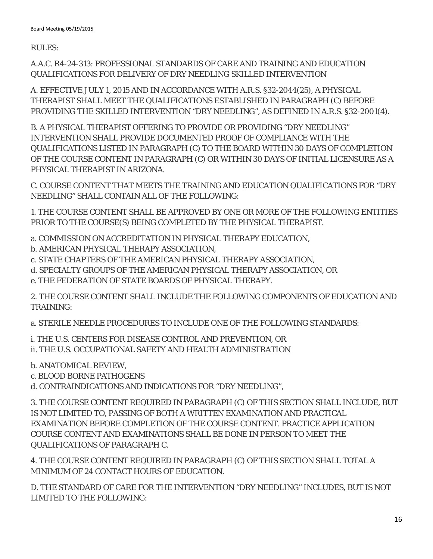RULES:

A.A.C. R4-24-313: PROFESSIONAL STANDARDS OF CARE AND TRAINING AND EDUCATION QUALIFICATIONS FOR DELIVERY OF DRY NEEDLING SKILLED INTERVENTION

A. EFFECTIVE JULY 1, 2015 AND IN ACCORDANCE WITH A.R.S. §32-2044(25), A PHYSICAL THERAPIST SHALL MEET THE QUALIFICATIONS ESTABLISHED IN PARAGRAPH (C) BEFORE PROVIDING THE SKILLED INTERVENTION "DRY NEEDLING", AS DEFINED IN A.R.S. §32-2001(4).

B. A PHYSICAL THERAPIST OFFERING TO PROVIDE OR PROVIDING "DRY NEEDLING" INTERVENTION SHALL PROVIDE DOCUMENTED PROOF OF COMPLIANCE WITH THE QUALIFICATIONS LISTED IN PARAGRAPH (C) TO THE BOARD WITHIN 30 DAYS OF COMPLETION OF THE COURSE CONTENT IN PARAGRAPH (C) OR WITHIN 30 DAYS OF INITIAL LICENSURE AS A PHYSICAL THERAPIST IN ARIZONA.

C. COURSE CONTENT THAT MEETS THE TRAINING AND EDUCATION QUALIFICATIONS FOR "DRY NEEDLING" SHALL CONTAIN ALL OF THE FOLLOWING:

1. THE COURSE CONTENT SHALL BE APPROVED BY ONE OR MORE OF THE FOLLOWING ENTITIES PRIOR TO THE COURSE(S) BEING COMPLETED BY THE PHYSICAL THERAPIST.

- a. COMMISSION ON ACCREDITATION IN PHYSICAL THERAPY EDUCATION,
- b. AMERICAN PHYSICAL THERAPY ASSOCIATION,
- c. STATE CHAPTERS OF THE AMERICAN PHYSICAL THERAPY ASSOCIATION,
- d. SPECIALTY GROUPS OF THE AMERICAN PHYSICAL THERAPY ASSOCIATION, OR
- e. THE FEDERATION OF STATE BOARDS OF PHYSICAL THERAPY.

2. THE COURSE CONTENT SHALL INCLUDE THE FOLLOWING COMPONENTS OF EDUCATION AND TRAINING:

a. STERILE NEEDLE PROCEDURES TO INCLUDE ONE OF THE FOLLOWING STANDARDS:

i. THE U.S. CENTERS FOR DISEASE CONTROL AND PREVENTION, OR ii. THE U.S. OCCUPATIONAL SAFETY AND HEALTH ADMINISTRATION

b. ANATOMICAL REVIEW,

c. BLOOD BORNE PATHOGENS

d. CONTRAINDICATIONS AND INDICATIONS FOR "DRY NEEDLING",

3. THE COURSE CONTENT REQUIRED IN PARAGRAPH (C) OF THIS SECTION SHALL INCLUDE, BUT IS NOT LIMITED TO, PASSING OF BOTH A WRITTEN EXAMINATION AND PRACTICAL EXAMINATION BEFORE COMPLETION OF THE COURSE CONTENT. PRACTICE APPLICATION COURSE CONTENT AND EXAMINATIONS SHALL BE DONE IN PERSON TO MEET THE QUALIFICATIONS OF PARAGRAPH C.

4. THE COURSE CONTENT REQUIRED IN PARAGRAPH (C) OF THIS SECTION SHALL TOTAL A MINIMUM OF 24 CONTACT HOURS OF EDUCATION.

D. THE STANDARD OF CARE FOR THE INTERVENTION "DRY NEEDLING" INCLUDES, BUT IS NOT LIMITED TO THE FOLLOWING: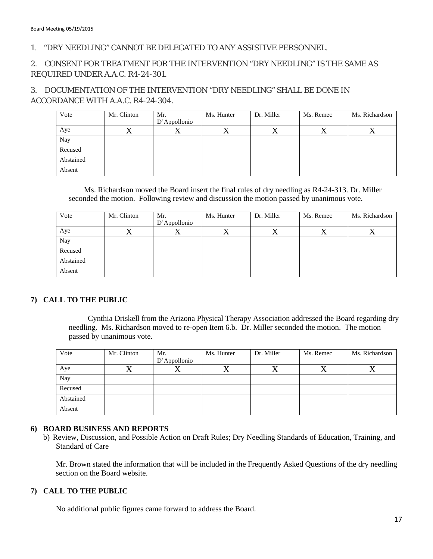# 1. "DRY NEEDLING" CANNOT BE DELEGATED TO ANY ASSISTIVE PERSONNEL.

# 2. CONSENT FOR TREATMENT FOR THE INTERVENTION "DRY NEEDLING" IS THE SAME AS REQUIRED UNDER A.A.C. R4-24-301.

3. DOCUMENTATION OF THE INTERVENTION "DRY NEEDLING" SHALL BE DONE IN ACCORDANCE WITH A.A.C. R4-24-304.

| Vote      | Mr. Clinton | Mr.          | Ms. Hunter | Dr. Miller | Ms. Remec | Ms. Richardson |
|-----------|-------------|--------------|------------|------------|-----------|----------------|
|           |             | D'Appollonio |            |            |           |                |
| Aye       | Δ           |              |            | ∡          | ∡         |                |
| Nay       |             |              |            |            |           |                |
| Recused   |             |              |            |            |           |                |
| Abstained |             |              |            |            |           |                |
| Absent    |             |              |            |            |           |                |

Ms. Richardson moved the Board insert the final rules of dry needling as R4-24-313. Dr. Miller seconded the motion. Following review and discussion the motion passed by unanimous vote.

| Vote      | Mr. Clinton | Mr.<br>D'Appollonio | Ms. Hunter | Dr. Miller | Ms. Remec | Ms. Richardson |
|-----------|-------------|---------------------|------------|------------|-----------|----------------|
| Aye       | △           | ∡                   |            | ∡          | 23        | ∡              |
| Nay       |             |                     |            |            |           |                |
| Recused   |             |                     |            |            |           |                |
| Abstained |             |                     |            |            |           |                |
| Absent    |             |                     |            |            |           |                |

### **7) CALL TO THE PUBLIC**

 Cynthia Driskell from the Arizona Physical Therapy Association addressed the Board regarding dry needling. Ms. Richardson moved to re-open Item 6.b. Dr. Miller seconded the motion. The motion passed by unanimous vote.

| Vote      | Mr. Clinton | Mr.          | Ms. Hunter | Dr. Miller | Ms. Remec | Ms. Richardson |
|-----------|-------------|--------------|------------|------------|-----------|----------------|
|           |             | D'Appollonio |            |            |           |                |
| Aye       |             | △            |            |            |           |                |
| Nay       |             |              |            |            |           |                |
| Recused   |             |              |            |            |           |                |
| Abstained |             |              |            |            |           |                |
| Absent    |             |              |            |            |           |                |

### **6) BOARD BUSINESS AND REPORTS**

b) Review, Discussion, and Possible Action on Draft Rules; Dry Needling Standards of Education, Training, and Standard of Care

Mr. Brown stated the information that will be included in the Frequently Asked Questions of the dry needling section on the Board website.

### **7) CALL TO THE PUBLIC**

No additional public figures came forward to address the Board.